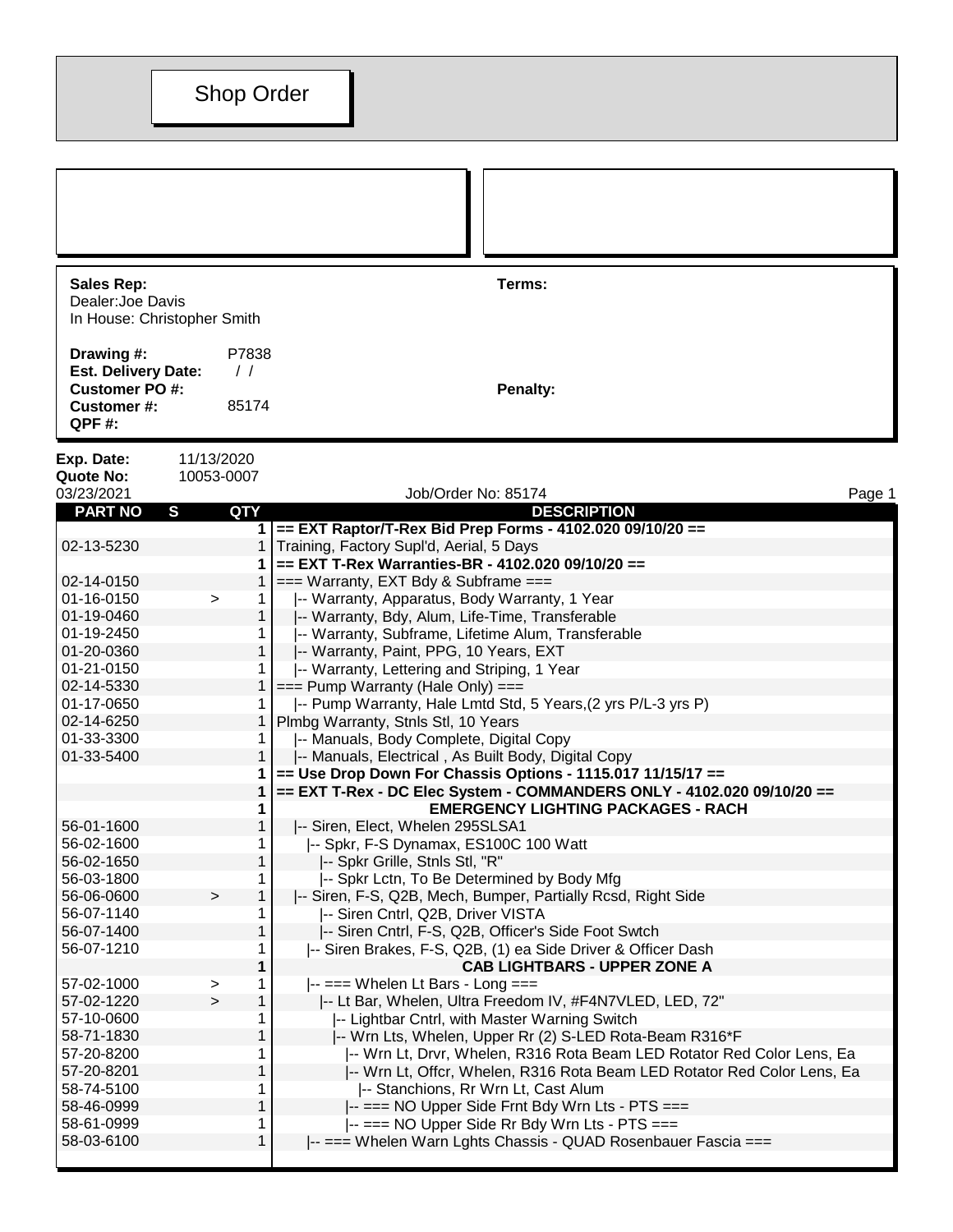| Sales Rep:                  |
|-----------------------------|
| Dealer: Joe Davis           |
| In House: Christopher Smith |
|                             |

**Drawing #:** P7838 **Est. Delivery Date:** / / **Customer PO #: Penalty: Customer #:** 85174 **QPF #:**

**Sales Rep: Terms:**

**Exp. Date:** 11/13/2020<br>**Quote No:** 10053-0007

**Quote No:** 10053-0007

| 03/23/2021     |              |              | Job/Order No: 85174                                                     | Page 1 |
|----------------|--------------|--------------|-------------------------------------------------------------------------|--------|
| <b>PART NO</b> | $\mathbf{s}$ | QTY          | <b>DESCRIPTION</b>                                                      |        |
|                |              |              | 1 == EXT Raptor/T-Rex Bid Prep Forms - 4102.020 09/10/20 ==             |        |
| 02-13-5230     |              | 1            | Training, Factory Supl'd, Aerial, 5 Days                                |        |
|                |              | 1            | == EXT T-Rex Warranties-BR - 4102.020 09/10/20 ==                       |        |
| 02-14-0150     |              |              | 1 $  ==$ Warranty, EXT Bdy & Subframe $==$                              |        |
| 01-16-0150     | $\,$         | $\mathbf{1}$ | -- Warranty, Apparatus, Body Warranty, 1 Year                           |        |
| 01-19-0460     |              | $\mathbf{1}$ | -- Warranty, Bdy, Alum, Life-Time, Transferable                         |        |
| 01-19-2450     |              |              | -- Warranty, Subframe, Lifetime Alum, Transferable                      |        |
| 01-20-0360     |              | $\mathbf{1}$ | -- Warranty, Paint, PPG, 10 Years, EXT                                  |        |
| 01-21-0150     |              |              | -- Warranty, Lettering and Striping, 1 Year                             |        |
| 02-14-5330     |              | 1            | $==$ Pump Warranty (Hale Only) $==$                                     |        |
| 01-17-0650     |              | 1            | -- Pump Warranty, Hale Lmtd Std, 5 Years, (2 yrs P/L-3 yrs P)           |        |
| 02-14-6250     |              | 1            | Plmbg Warranty, Stnls Stl, 10 Years                                     |        |
| 01-33-3300     |              | 1            | -- Manuals, Body Complete, Digital Copy                                 |        |
| 01-33-5400     |              | $\mathbf{1}$ | -- Manuals, Electrical, As Built Body, Digital Copy                     |        |
|                |              | 1            | $==$ Use Drop Down For Chassis Options - 1115.017 11/15/17 ==           |        |
|                |              | 1            | == EXT T-Rex - DC Elec System - COMMANDERS ONLY - 4102.020 09/10/20 ==  |        |
|                |              | 1            | <b>EMERGENCY LIGHTING PACKAGES - RACH</b>                               |        |
| 56-01-1600     |              | 1            | -- Siren, Elect, Whelen 295SLSA1                                        |        |
| 56-02-1600     |              |              | -- Spkr, F-S Dynamax, ES100C 100 Watt                                   |        |
| 56-02-1650     |              | 1            | I-- Spkr Grille, Stnls Stl, "R"                                         |        |
| 56-03-1800     |              | 1            | -- Spkr Lctn, To Be Determined by Body Mfg                              |        |
| 56-06-0600     | $\geq$       | 1            | -- Siren, F-S, Q2B, Mech, Bumper, Partially Rcsd, Right Side            |        |
| 56-07-1140     |              |              | -- Siren Cntrl, Q2B, Driver VISTA                                       |        |
| 56-07-1400     |              | 1            | -- Siren Cntrl, F-S, Q2B, Officer's Side Foot Swtch                     |        |
| 56-07-1210     |              | 1            | -- Siren Brakes, F-S, Q2B, (1) ea Side Driver & Officer Dash            |        |
|                |              | 1            | <b>CAB LIGHTBARS - UPPER ZONE A</b>                                     |        |
| 57-02-1000     | $\geq$       | 1            | $\left  \cdot \right  ==$ Whelen Lt Bars - Long ===                     |        |
| 57-02-1220     | $\mathbf{r}$ | $\mathbf 1$  | -- Lt Bar, Whelen, Ultra Freedom IV, #F4N7VLED, LED, 72"                |        |
| 57-10-0600     |              | 1            | -- Lightbar Cntrl, with Master Warning Switch                           |        |
| 58-71-1830     |              | 1            | -- Wrn Lts, Whelen, Upper Rr (2) S-LED Rota-Beam R316*F                 |        |
| 57-20-8200     |              | 1            | -- Wrn Lt, Drvr, Whelen, R316 Rota Beam LED Rotator Red Color Lens, Ea  |        |
| 57-20-8201     |              | $\mathbf{1}$ | -- Wrn Lt, Offcr, Whelen, R316 Rota Beam LED Rotator Red Color Lens, Ea |        |
| 58-74-5100     |              | 1            | -- Stanchions, Rr Wrn Lt, Cast Alum                                     |        |
| 58-46-0999     |              | $\mathbf{1}$ | -- === NO Upper Side Frnt Bdy Wrn Lts - PTS ===                         |        |
| 58-61-0999     |              | 1            | -- === NO Upper Side Rr Bdy Wrn Lts - PTS ===                           |        |
| 58-03-6100     |              | 1            | -- === Whelen Warn Lghts Chassis - QUAD Rosenbauer Fascia ===           |        |
|                |              |              |                                                                         |        |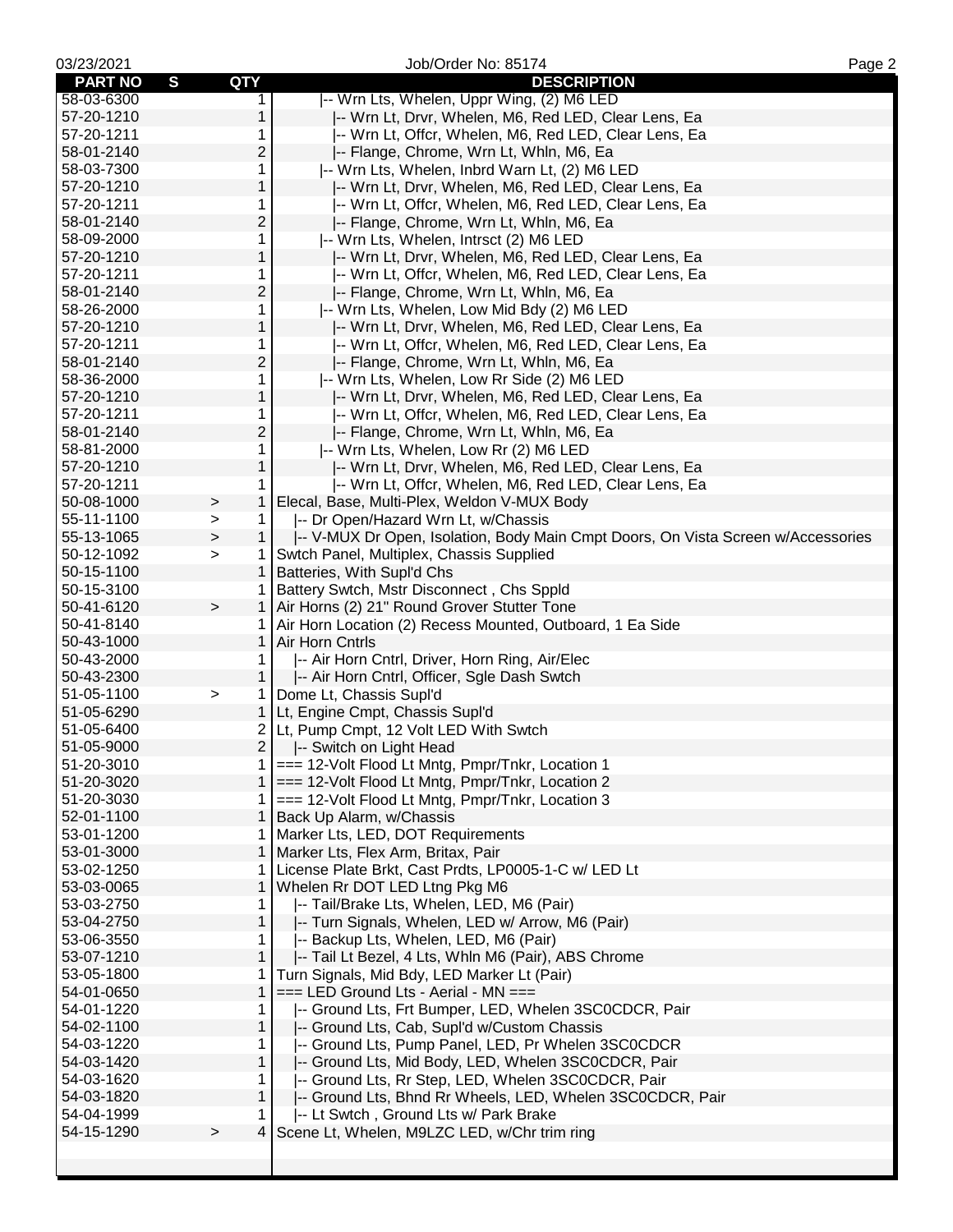| 03/23/2021     |                        | Job/Order No: 85174                                                                                  | Page 2 |
|----------------|------------------------|------------------------------------------------------------------------------------------------------|--------|
| <b>PART NO</b> | S<br>QTY               | <b>DESCRIPTION</b>                                                                                   |        |
| 58-03-6300     | 1                      | -- Wrn Lts, Whelen, Uppr Wing, (2) M6 LED                                                            |        |
| 57-20-1210     | 1                      | -- Wrn Lt, Drvr, Whelen, M6, Red LED, Clear Lens, Ea                                                 |        |
| 57-20-1211     | 1                      | -- Wrn Lt, Offcr, Whelen, M6, Red LED, Clear Lens, Ea                                                |        |
| 58-01-2140     | 2                      | -- Flange, Chrome, Wrn Lt, Whln, M6, Ea                                                              |        |
| 58-03-7300     | 1                      | -- Wrn Lts, Whelen, Inbrd Warn Lt, (2) M6 LED                                                        |        |
| 57-20-1210     | 1                      | -- Wrn Lt, Drvr, Whelen, M6, Red LED, Clear Lens, Ea                                                 |        |
| 57-20-1211     | 1                      | -- Wrn Lt, Offcr, Whelen, M6, Red LED, Clear Lens, Ea                                                |        |
| 58-01-2140     | 2                      | -- Flange, Chrome, Wrn Lt, Whln, M6, Ea                                                              |        |
| 58-09-2000     | 1                      | -- Wrn Lts, Whelen, Intrsct (2) M6 LED                                                               |        |
| 57-20-1210     | $\mathbf{1}$           | -- Wrn Lt, Drvr, Whelen, M6, Red LED, Clear Lens, Ea                                                 |        |
| 57-20-1211     | 1                      | I-- Wrn Lt, Offcr, Whelen, M6, Red LED, Clear Lens, Ea                                               |        |
| 58-01-2140     | 2                      | -- Flange, Chrome, Wrn Lt, Whln, M6, Ea                                                              |        |
| 58-26-2000     | 1                      | -- Wrn Lts, Whelen, Low Mid Bdy (2) M6 LED                                                           |        |
| 57-20-1210     | $\mathbf{1}$           | -- Wrn Lt, Drvr, Whelen, M6, Red LED, Clear Lens, Ea                                                 |        |
| 57-20-1211     | 1                      | -- Wrn Lt, Offcr, Whelen, M6, Red LED, Clear Lens, Ea                                                |        |
| 58-01-2140     | 2                      | -- Flange, Chrome, Wrn Lt, Whln, M6, Ea                                                              |        |
| 58-36-2000     | 1                      | -- Wrn Lts, Whelen, Low Rr Side (2) M6 LED                                                           |        |
| 57-20-1210     | 1                      | -- Wrn Lt, Drvr, Whelen, M6, Red LED, Clear Lens, Ea                                                 |        |
| 57-20-1211     | 1                      | I-- Wrn Lt, Offcr, Whelen, M6, Red LED, Clear Lens, Ea                                               |        |
| 58-01-2140     | 2                      | -- Flange, Chrome, Wrn Lt, Whln, M6, Ea                                                              |        |
| 58-81-2000     | 1                      | -- Wrn Lts, Whelen, Low Rr (2) M6 LED                                                                |        |
| 57-20-1210     | 1                      | -- Wrn Lt, Drvr, Whelen, M6, Red LED, Clear Lens, Ea                                                 |        |
| 57-20-1211     | 1                      |                                                                                                      |        |
|                |                        | -- Wrn Lt, Offcr, Whelen, M6, Red LED, Clear Lens, Ea<br>Elecal, Base, Multi-Plex, Weldon V-MUX Body |        |
| 50-08-1000     | 1<br>$\geq$            |                                                                                                      |        |
| 55-11-1100     | $\mathbf{1}$<br>$\geq$ | -- Dr Open/Hazard Wrn Lt, w/Chassis                                                                  |        |
| 55-13-1065     | $\mathbf{1}$<br>$\,$   | -- V-MUX Dr Open, Isolation, Body Main Cmpt Doors, On Vista Screen w/Accessories                     |        |
| 50-12-1092     | $\geq$<br>1            | Swtch Panel, Multiplex, Chassis Supplied                                                             |        |
| 50-15-1100     | 1                      | Batteries, With Supl'd Chs                                                                           |        |
| 50-15-3100     | 1                      | Battery Swtch, Mstr Disconnect, Chs Sppld                                                            |        |
| 50-41-6120     | $\,$                   | 1   Air Horns (2) 21" Round Grover Stutter Tone                                                      |        |
| 50-41-8140     | 1.                     | Air Horn Location (2) Recess Mounted, Outboard, 1 Ea Side                                            |        |
| 50-43-1000     | $\mathbf{1}$           | Air Horn Cntrls                                                                                      |        |
| 50-43-2000     | 1.                     | -- Air Horn Cntrl, Driver, Horn Ring, Air/Elec                                                       |        |
| 50-43-2300     | $\mathbf{1}$           | -- Air Horn Cntrl, Officer, Sgle Dash Swtch                                                          |        |
| 51-05-1100     | $\,$<br>1              | Dome Lt, Chassis Supl'd                                                                              |        |
| 51-05-6290     | $\mathbf 1$            | Lt, Engine Cmpt, Chassis Supl'd                                                                      |        |
| 51-05-6400     | 2                      | Lt, Pump Cmpt, 12 Volt LED With Swtch                                                                |        |
| 51-05-9000     | 2                      | -- Switch on Light Head                                                                              |        |
| 51-20-3010     | $\mathbf{1}$           | === 12-Volt Flood Lt Mntg, Pmpr/Tnkr, Location 1                                                     |        |
| 51-20-3020     |                        | 1 === 12-Volt Flood Lt Mntg, Pmpr/Tnkr, Location 2                                                   |        |
| 51-20-3030     | 1                      | === 12-Volt Flood Lt Mntg, Pmpr/Tnkr, Location 3                                                     |        |
| 52-01-1100     | $\mathbf{1}$           | Back Up Alarm, w/Chassis                                                                             |        |
| 53-01-1200     | 1                      | Marker Lts, LED, DOT Requirements                                                                    |        |
| 53-01-3000     | 1                      | Marker Lts, Flex Arm, Britax, Pair                                                                   |        |
| 53-02-1250     | 1                      | License Plate Brkt, Cast Prdts, LP0005-1-C w/ LED Lt                                                 |        |
| 53-03-0065     | 1                      | Whelen Rr DOT LED Ltng Pkg M6                                                                        |        |
| 53-03-2750     | 1.                     | -- Tail/Brake Lts, Whelen, LED, M6 (Pair)                                                            |        |
| 53-04-2750     | $\mathbf{1}$           | -- Turn Signals, Whelen, LED w/ Arrow, M6 (Pair)                                                     |        |
| 53-06-3550     | 1                      | -- Backup Lts, Whelen, LED, M6 (Pair)                                                                |        |
| 53-07-1210     | 1                      | -- Tail Lt Bezel, 4 Lts, Whln M6 (Pair), ABS Chrome                                                  |        |
| 53-05-1800     | 1                      | Turn Signals, Mid Bdy, LED Marker Lt (Pair)                                                          |        |
| 54-01-0650     | 1                      | $==$ LED Ground Lts - Aerial - MN $==$                                                               |        |
| 54-01-1220     | 1                      | -- Ground Lts, Frt Bumper, LED, Whelen 3SC0CDCR, Pair                                                |        |
| 54-02-1100     | 1                      | -- Ground Lts, Cab, Supl'd w/Custom Chassis                                                          |        |
| 54-03-1220     | 1                      | -- Ground Lts, Pump Panel, LED, Pr Whelen 3SC0CDCR                                                   |        |
| 54-03-1420     | 1                      | -- Ground Lts, Mid Body, LED, Whelen 3SC0CDCR, Pair                                                  |        |
| 54-03-1620     | 1                      | -- Ground Lts, Rr Step, LED, Whelen 3SC0CDCR, Pair                                                   |        |
| 54-03-1820     | 1                      | -- Ground Lts, Bhnd Rr Wheels, LED, Whelen 3SC0CDCR, Pair                                            |        |
| 54-04-1999     | 1                      | -- Lt Swtch, Ground Lts w/ Park Brake                                                                |        |
| 54-15-1290     | 4<br>$\,$              | Scene Lt, Whelen, M9LZC LED, w/Chr trim ring                                                         |        |
|                |                        |                                                                                                      |        |
|                |                        |                                                                                                      |        |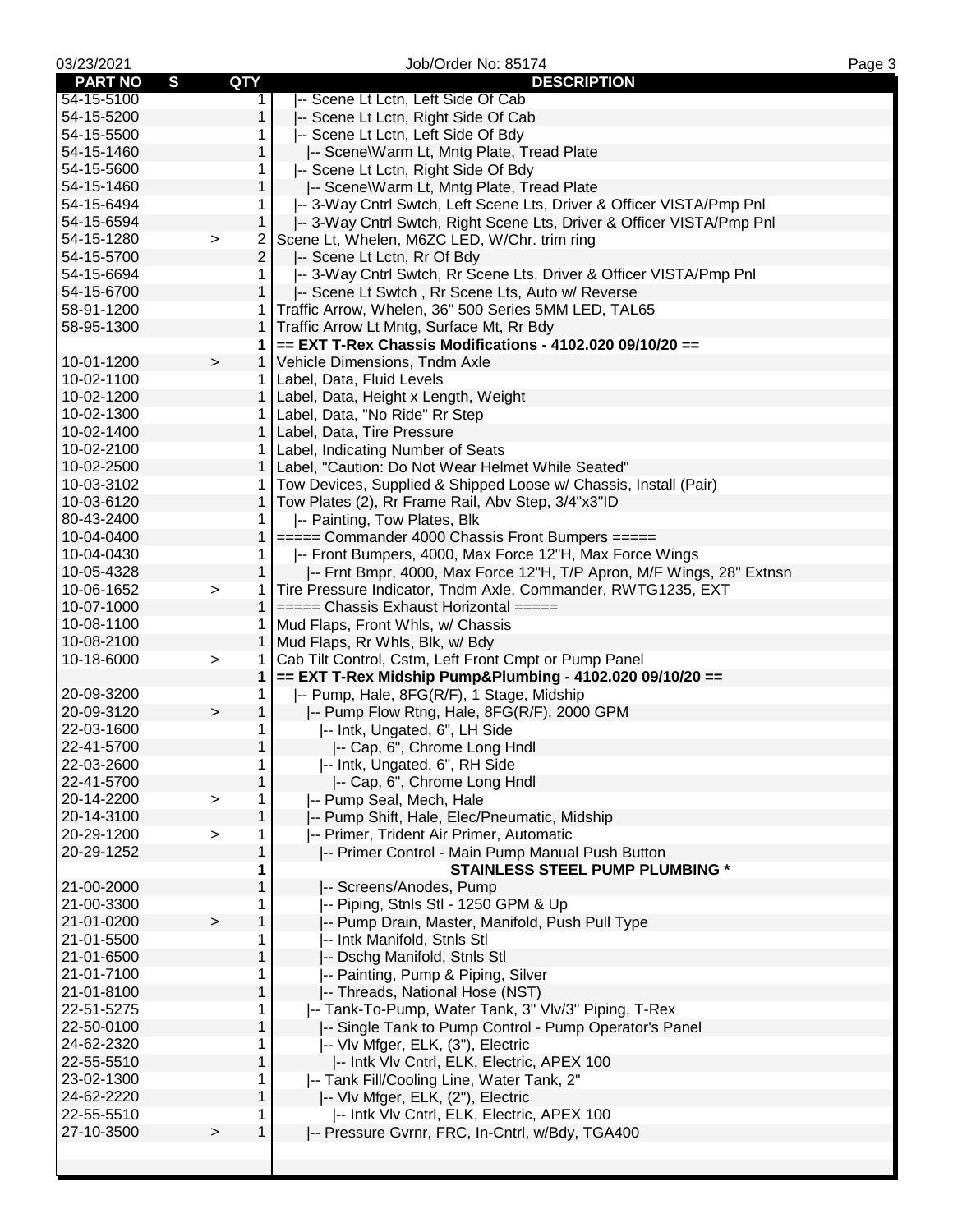| 03/23/2021                     |              |                | Job/Order No: 85174                                                   | Page 3 |
|--------------------------------|--------------|----------------|-----------------------------------------------------------------------|--------|
| $\mathbf{s}$<br><b>PART NO</b> | QTY          |                | <b>DESCRIPTION</b>                                                    |        |
| 54-15-5100                     |              | 1.             | -- Scene Lt Lctn, Left Side Of Cab                                    |        |
| 54-15-5200                     |              | 1              | -- Scene Lt Lctn, Right Side Of Cab                                   |        |
| 54-15-5500                     |              | 1              | -- Scene Lt Lctn, Left Side Of Bdy                                    |        |
| 54-15-1460                     |              | 1              | -- Scene\Warm Lt, Mntg Plate, Tread Plate                             |        |
| 54-15-5600                     |              | 1              | -- Scene Lt Lctn, Right Side Of Bdy                                   |        |
| 54-15-1460                     |              | 1              | -- Scene\Warm Lt, Mntg Plate, Tread Plate                             |        |
| 54-15-6494                     |              | 1.             | -- 3-Way Cntrl Swtch, Left Scene Lts, Driver & Officer VISTA/Pmp Pnl  |        |
| 54-15-6594                     |              | 1              | -- 3-Way Cntrl Swtch, Right Scene Lts, Driver & Officer VISTA/Pmp Pnl |        |
| 54-15-1280                     | $\, > \,$    | 2              | Scene Lt, Whelen, M6ZC LED, W/Chr. trim ring                          |        |
| 54-15-5700                     |              | $\overline{2}$ | -- Scene Lt Lctn, Rr Of Bdy                                           |        |
| 54-15-6694                     |              | 1.             | -- 3-Way Cntrl Swtch, Rr Scene Lts, Driver & Officer VISTA/Pmp Pnl    |        |
| 54-15-6700                     |              | $\mathbf{1}$   | -- Scene Lt Swtch, Rr Scene Lts, Auto w/ Reverse                      |        |
| 58-91-1200                     |              | 1              | Traffic Arrow, Whelen, 36" 500 Series 5MM LED, TAL65                  |        |
| 58-95-1300                     |              | 1              | Traffic Arrow Lt Mntg, Surface Mt, Rr Bdy                             |        |
|                                |              | 1              | $==$ EXT T-Rex Chassis Modifications - 4102.020 09/10/20 ==           |        |
| 10-01-1200                     | $\, > \,$    |                | 1 Vehicle Dimensions, Tndm Axle                                       |        |
| 10-02-1100                     |              |                | 1   Label, Data, Fluid Levels                                         |        |
| 10-02-1200                     |              |                | 1   Label, Data, Height x Length, Weight                              |        |
| 10-02-1300                     |              |                | 1   Label, Data, "No Ride" Rr Step                                    |        |
| 10-02-1400                     |              |                | 1   Label, Data, Tire Pressure                                        |        |
| 10-02-2100                     |              |                | 1 Label, Indicating Number of Seats                                   |        |
| 10-02-2500                     |              |                | 1   Label, "Caution: Do Not Wear Helmet While Seated"                 |        |
| 10-03-3102                     |              | 1              | Tow Devices, Supplied & Shipped Loose w/ Chassis, Install (Pair)      |        |
| 10-03-6120                     |              | 1              | Tow Plates (2), Rr Frame Rail, Abv Step, 3/4"x3"ID                    |        |
| 80-43-2400                     |              |                |                                                                       |        |
| 10-04-0400                     |              | 1<br>1         | -- Painting, Tow Plates, Blk                                          |        |
|                                |              |                | $====$ Commander 4000 Chassis Front Bumpers $====$                    |        |
| 10-04-0430<br>10-05-4328       |              | 1.             | -- Front Bumpers, 4000, Max Force 12"H, Max Force Wings               |        |
|                                |              | 1              | -- Frnt Bmpr, 4000, Max Force 12"H, T/P Apron, M/F Wings, 28" Extnsn  |        |
| 10-06-1652                     | $\geq$       | 1              | Tire Pressure Indicator, Tndm Axle, Commander, RWTG1235, EXT          |        |
| 10-07-1000                     |              | $\mathbf{1}$   | $====$ Chassis Exhaust Horizontal $====$                              |        |
| 10-08-1100                     |              |                | 1   Mud Flaps, Front Whls, w/ Chassis                                 |        |
| 10-08-2100                     |              |                | 1   Mud Flaps, Rr Whls, Blk, w/ Bdy                                   |        |
| 10-18-6000                     | $\,>$        | 1              | Cab Tilt Control, Cstm, Left Front Cmpt or Pump Panel                 |        |
|                                |              | $\mathbf 1$    | == EXT T-Rex Midship Pump&Plumbing - 4102.020 09/10/20 ==             |        |
| 20-09-3200                     |              | 1              | -- Pump, Hale, 8FG(R/F), 1 Stage, Midship                             |        |
| 20-09-3120                     | $\,$         | $\mathbf{1}$   | -- Pump Flow Rtng, Hale, 8FG(R/F), 2000 GPM                           |        |
| 22-03-1600                     |              | 1.             | -- Intk, Ungated, 6", LH Side                                         |        |
| 22-41-5700                     |              | $\mathbf 1$    | -- Cap, 6", Chrome Long Hndl                                          |        |
| 22-03-2600                     |              | 1              | -- Intk, Ungated, 6", RH Side                                         |        |
| 22-41-5700                     |              | 1              | -- Cap, 6", Chrome Long Hndl                                          |        |
| 20-14-2200                     | >            | 1              | -- Pump Seal, Mech, Hale                                              |        |
| 20-14-3100                     |              | 1              | -- Pump Shift, Hale, Elec/Pneumatic, Midship                          |        |
| 20-29-1200                     | $\geq$       | 1              | -- Primer, Trident Air Primer, Automatic                              |        |
| 20-29-1252                     |              | 1              | -- Primer Control - Main Pump Manual Push Button                      |        |
|                                |              | 1              | <b>STAINLESS STEEL PUMP PLUMBING *</b>                                |        |
| 21-00-2000                     |              | 1              | -- Screens/Anodes, Pump                                               |        |
| 21-00-3300                     |              | 1              | -- Piping, Stnls Stl - 1250 GPM & Up                                  |        |
| 21-01-0200                     | $\mathbf{I}$ | 1              | -- Pump Drain, Master, Manifold, Push Pull Type                       |        |
| 21-01-5500                     |              | 1              | -- Intk Manifold, Stnls Stl                                           |        |
| 21-01-6500                     |              | 1              | -- Dschg Manifold, Stnls Stl                                          |        |
| 21-01-7100                     |              | 1              | -- Painting, Pump & Piping, Silver                                    |        |
| 21-01-8100                     |              | 1              | -- Threads, National Hose (NST)                                       |        |
| 22-51-5275                     |              | 1              | -- Tank-To-Pump, Water Tank, 3" Vlv/3" Piping, T-Rex                  |        |
| 22-50-0100                     |              | 1              | -- Single Tank to Pump Control - Pump Operator's Panel                |        |
| 24-62-2320                     |              | 1              | -- Vlv Mfger, ELK, (3"), Electric                                     |        |
| 22-55-5510                     |              | 1              | -- Intk VIv Cntrl, ELK, Electric, APEX 100                            |        |
| 23-02-1300                     |              | 1              | -- Tank Fill/Cooling Line, Water Tank, 2"                             |        |
| 24-62-2220                     |              | 1              | -- Vlv Mfger, ELK, (2"), Electric                                     |        |
| 22-55-5510                     |              | 1              | -- Intk VIv Cntrl, ELK, Electric, APEX 100                            |        |
| 27-10-3500                     | $\,$         | 1              | -- Pressure Gvrnr, FRC, In-Cntrl, w/Bdy, TGA400                       |        |
|                                |              |                |                                                                       |        |
|                                |              |                |                                                                       |        |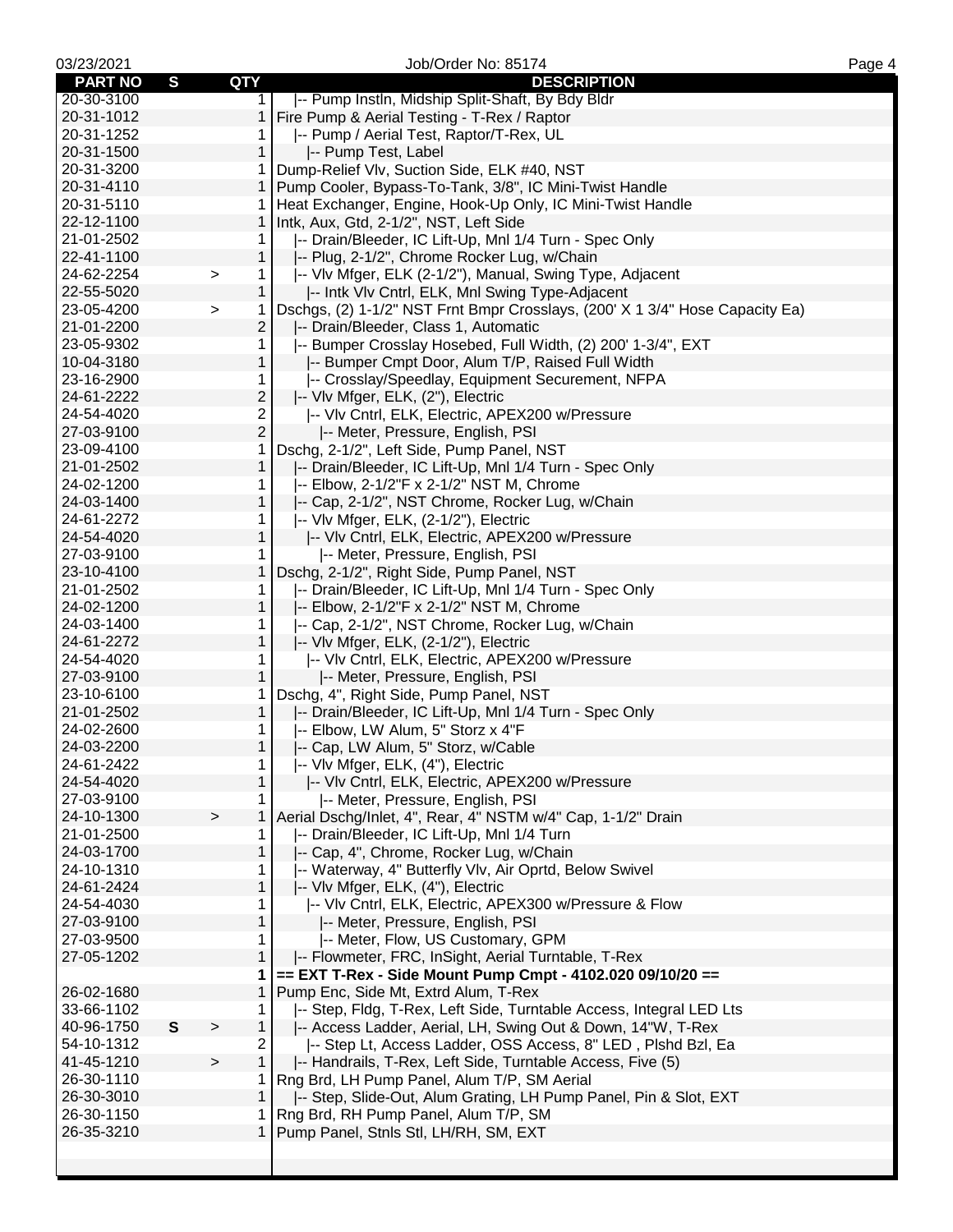| 03/23/2021     |             |              |                | Job/Order No: 85174                                                          | Page 4 |
|----------------|-------------|--------------|----------------|------------------------------------------------------------------------------|--------|
| <b>PART NO</b> | S           | <b>QTY</b>   |                | <b>DESCRIPTION</b>                                                           |        |
| 20-30-3100     |             |              | $\mathbf 1$    | -- Pump Instln, Midship Split-Shaft, By Bdy Bldr                             |        |
| 20-31-1012     |             |              | 1              | Fire Pump & Aerial Testing - T-Rex / Raptor                                  |        |
| 20-31-1252     |             |              | 1              | -- Pump / Aerial Test, Raptor/T-Rex, UL                                      |        |
| 20-31-1500     |             |              | $\mathbf{1}$   | -- Pump Test, Label                                                          |        |
| 20-31-3200     |             |              |                | 1 Dump-Relief VIv, Suction Side, ELK #40, NST                                |        |
| 20-31-4110     |             |              |                | 1   Pump Cooler, Bypass-To-Tank, 3/8", IC Mini-Twist Handle                  |        |
| 20-31-5110     |             |              |                | 1   Heat Exchanger, Engine, Hook-Up Only, IC Mini-Twist Handle               |        |
| 22-12-1100     |             |              | $\mathbf{1}$   | Intk, Aux, Gtd, 2-1/2", NST, Left Side                                       |        |
| 21-01-2502     |             |              | 1.             | -- Drain/Bleeder, IC Lift-Up, Mnl 1/4 Turn - Spec Only                       |        |
| 22-41-1100     |             |              | 1              | -- Plug, 2-1/2", Chrome Rocker Lug, w/Chain                                  |        |
| 24-62-2254     |             | $\, >$       | $\mathbf{1}$   | -- VIv Mfger, ELK (2-1/2"), Manual, Swing Type, Adjacent                     |        |
| 22-55-5020     |             |              | $\mathbf{1}$   | -- Intk VIv Cntrl, ELK, Mnl Swing Type-Adjacent                              |        |
| 23-05-4200     |             | $\geq$       | $\mathbf{1}$   | Dschgs, (2) 1-1/2" NST Frnt Bmpr Crosslays, (200' X 1 3/4" Hose Capacity Ea) |        |
| 21-01-2200     |             |              | $\overline{c}$ | -- Drain/Bleeder, Class 1, Automatic                                         |        |
| 23-05-9302     |             |              | 1              | -- Bumper Crosslay Hosebed, Full Width, (2) 200' 1-3/4", EXT                 |        |
| 10-04-3180     |             |              | 1              | -- Bumper Cmpt Door, Alum T/P, Raised Full Width                             |        |
| 23-16-2900     |             |              | 1.             | -- Crosslay/Speedlay, Equipment Securement, NFPA                             |        |
| 24-61-2222     |             |              | $\overline{c}$ | -- Vlv Mfger, ELK, (2"), Electric                                            |        |
| 24-54-4020     |             |              | $\overline{2}$ | -- VIv Cntrl, ELK, Electric, APEX200 w/Pressure                              |        |
| 27-03-9100     |             |              | $\overline{c}$ | -- Meter, Pressure, English, PSI                                             |        |
| 23-09-4100     |             |              | 1              | Dschg, 2-1/2", Left Side, Pump Panel, NST                                    |        |
| 21-01-2502     |             |              | 1              | -- Drain/Bleeder, IC Lift-Up, Mnl 1/4 Turn - Spec Only                       |        |
| 24-02-1200     |             |              | 1              | -- Elbow, 2-1/2"F x 2-1/2" NST M, Chrome                                     |        |
| 24-03-1400     |             |              | $\mathbf{1}$   | -- Cap, 2-1/2", NST Chrome, Rocker Lug, w/Chain                              |        |
| 24-61-2272     |             |              | 1.             | -- VIv Mfger, ELK, (2-1/2"), Electric                                        |        |
| 24-54-4020     |             |              | 1              | -- VIv Cntrl, ELK, Electric, APEX200 w/Pressure                              |        |
| 27-03-9100     |             |              | 1.             | I-- Meter, Pressure, English, PSI                                            |        |
| 23-10-4100     |             |              | $\mathbf{1}$   | Dschg, 2-1/2", Right Side, Pump Panel, NST                                   |        |
| 21-01-2502     |             |              | 1              | -- Drain/Bleeder, IC Lift-Up, Mnl 1/4 Turn - Spec Only                       |        |
| 24-02-1200     |             |              | 1              | -- Elbow, 2-1/2"F x 2-1/2" NST M, Chrome                                     |        |
| 24-03-1400     |             |              | 1              | -- Cap, 2-1/2", NST Chrome, Rocker Lug, w/Chain                              |        |
| 24-61-2272     |             |              | $\mathbf 1$    | -- VIv Mfger, ELK, (2-1/2"), Electric                                        |        |
| 24-54-4020     |             |              | 1.             | -- VIv Cntrl, ELK, Electric, APEX200 w/Pressure                              |        |
| 27-03-9100     |             |              | 1              | -- Meter, Pressure, English, PSI                                             |        |
| 23-10-6100     |             |              | 1              | Dschg, 4", Right Side, Pump Panel, NST                                       |        |
| 21-01-2502     |             |              | 1              | -- Drain/Bleeder, IC Lift-Up, Mnl 1/4 Turn - Spec Only                       |        |
| 24-02-2600     |             |              | $\mathbf{1}$   | -- Elbow, LW Alum, 5" Storz x 4"F                                            |        |
| 24-03-2200     |             |              | $\mathbf{1}$   | -- Cap, LW Alum, 5" Storz, w/Cable                                           |        |
| 24-61-2422     |             |              | 1.             | -- VIv Mfger, ELK, (4"), Electric                                            |        |
| 24-54-4020     |             |              | $\mathbf{1}$   | -- VIv Cntrl, ELK, Electric, APEX200 w/Pressure                              |        |
| 27-03-9100     |             |              | 1              | -- Meter, Pressure, English, PSI                                             |        |
| 24-10-1300     |             | >            | 1              | Aerial Dschg/Inlet, 4", Rear, 4" NSTM w/4" Cap, 1-1/2" Drain                 |        |
| 21-01-2500     |             |              | 1              | -- Drain/Bleeder, IC Lift-Up, Mnl 1/4 Turn                                   |        |
| 24-03-1700     |             |              | $\mathbf{1}$   | -- Cap, 4", Chrome, Rocker Lug, w/Chain                                      |        |
| 24-10-1310     |             |              | 1              | -- Waterway, 4" Butterfly VIv, Air Oprtd, Below Swivel                       |        |
| 24-61-2424     |             |              | 1              | -- Vlv Mfger, ELK, (4"), Electric                                            |        |
| 24-54-4030     |             |              | 1              | -- VIv Cntrl, ELK, Electric, APEX300 w/Pressure & Flow                       |        |
| 27-03-9100     |             |              | 1              | -- Meter, Pressure, English, PSI                                             |        |
| 27-03-9500     |             |              | 1              | -- Meter, Flow, US Customary, GPM                                            |        |
| 27-05-1202     |             |              | 1              | -- Flowmeter, FRC, InSight, Aerial Turntable, T-Rex                          |        |
|                |             |              | 1              | == EXT T-Rex - Side Mount Pump Cmpt - 4102.020 09/10/20 ==                   |        |
| 26-02-1680     |             |              | 1              | Pump Enc, Side Mt, Extrd Alum, T-Rex                                         |        |
| 33-66-1102     |             |              | 1              | -- Step, Fldg, T-Rex, Left Side, Turntable Access, Integral LED Lts          |        |
| 40-96-1750     | $\mathbf s$ | $\geq$       | $\mathbf{1}$   | -- Access Ladder, Aerial, LH, Swing Out & Down, 14"W, T-Rex                  |        |
| 54-10-1312     |             |              | 2              | -- Step Lt, Access Ladder, OSS Access, 8" LED, Plshd Bzl, Ea                 |        |
| 41-45-1210     |             | $\mathbf{I}$ | $\mathbf 1$    | -- Handrails, T-Rex, Left Side, Turntable Access, Five (5)                   |        |
| 26-30-1110     |             |              | 1.             | Rng Brd, LH Pump Panel, Alum T/P, SM Aerial                                  |        |
| 26-30-3010     |             |              | $\mathbf{1}$   | -- Step, Slide-Out, Alum Grating, LH Pump Panel, Pin & Slot, EXT             |        |
| 26-30-1150     |             |              | 1              | Rng Brd, RH Pump Panel, Alum T/P, SM                                         |        |
| 26-35-3210     |             |              |                | 1   Pump Panel, Stnls Stl, LH/RH, SM, EXT                                    |        |
|                |             |              |                |                                                                              |        |
|                |             |              |                |                                                                              |        |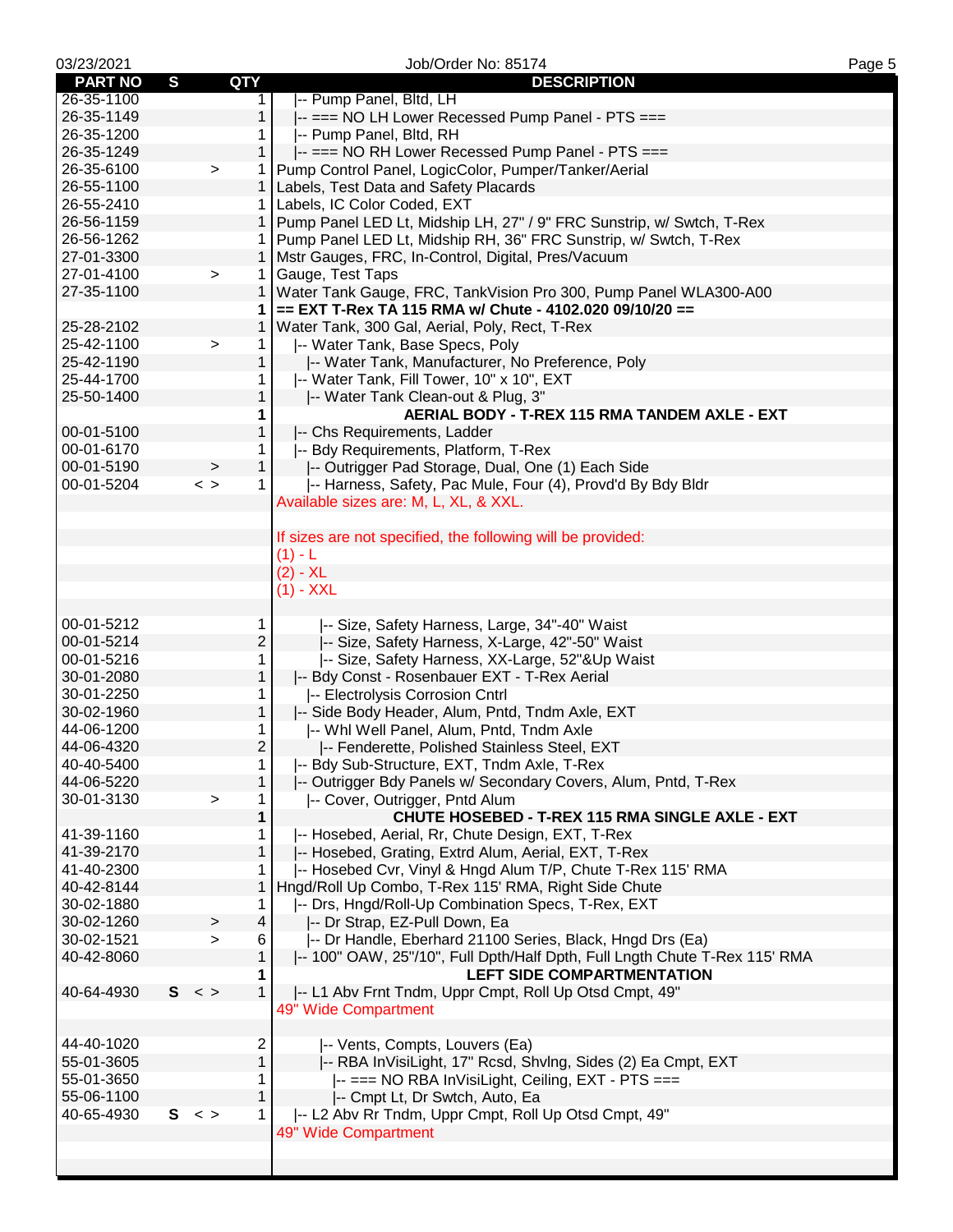| 03/23/2021     |   |             |                     | Job/Order No: 85174                                                        | Page 5 |
|----------------|---|-------------|---------------------|----------------------------------------------------------------------------|--------|
| <b>PART NO</b> | S | QTY         |                     | <b>DESCRIPTION</b>                                                         |        |
| 26-35-1100     |   |             | 1.                  | -- Pump Panel, Bltd, LH                                                    |        |
| 26-35-1149     |   |             | $\mathbf{1}$        | -- === NO LH Lower Recessed Pump Panel - PTS ===                           |        |
| 26-35-1200     |   |             | 1.                  | -- Pump Panel, Bltd, RH                                                    |        |
| 26-35-1249     |   |             | 1                   | -- === NO RH Lower Recessed Pump Panel - PTS ===                           |        |
| 26-35-6100     |   | $\,$        | 1                   | Pump Control Panel, LogicColor, Pumper/Tanker/Aerial                       |        |
| 26-55-1100     |   |             |                     | 1   Labels, Test Data and Safety Placards                                  |        |
| 26-55-2410     |   |             |                     | 1   Labels, IC Color Coded, EXT                                            |        |
| 26-56-1159     |   |             |                     | 1 Pump Panel LED Lt, Midship LH, 27" / 9" FRC Sunstrip, w/ Swtch, T-Rex    |        |
| 26-56-1262     |   |             |                     | 1 Pump Panel LED Lt, Midship RH, 36" FRC Sunstrip, w/ Swtch, T-Rex         |        |
| 27-01-3300     |   |             |                     | 1   Mstr Gauges, FRC, In-Control, Digital, Pres/Vacuum                     |        |
| 27-01-4100     |   | $\geq$      | 1.                  | Gauge, Test Taps                                                           |        |
| 27-35-1100     |   |             | 1.                  | Water Tank Gauge, FRC, TankVision Pro 300, Pump Panel WLA300-A00           |        |
|                |   |             | 1                   | == EXT T-Rex TA 115 RMA w/ Chute - 4102.020 09/10/20 ==                    |        |
| 25-28-2102     |   |             | 1                   |                                                                            |        |
|                |   |             |                     | Water Tank, 300 Gal, Aerial, Poly, Rect, T-Rex                             |        |
| 25-42-1100     |   | $\,$        | $\mathbf 1$         | -- Water Tank, Base Specs, Poly                                            |        |
| 25-42-1190     |   |             | $\mathbf{1}$        | -- Water Tank, Manufacturer, No Preference, Poly                           |        |
| 25-44-1700     |   |             | 1                   | -- Water Tank, Fill Tower, 10" x 10", EXT                                  |        |
| 25-50-1400     |   |             | 1                   | -- Water Tank Clean-out & Plug, 3"                                         |        |
|                |   |             | 1                   | AERIAL BODY - T-REX 115 RMA TANDEM AXLE - EXT                              |        |
| 00-01-5100     |   |             | $\mathbf{1}$        | -- Chs Requirements, Ladder                                                |        |
| 00-01-6170     |   |             | 1                   | -- Bdy Requirements, Platform, T-Rex                                       |        |
| 00-01-5190     |   | $\, > \,$   | 1                   | -- Outrigger Pad Storage, Dual, One (1) Each Side                          |        |
| 00-01-5204     |   | $\,<\,$ $>$ | $\mathbf{1}$        | -- Harness, Safety, Pac Mule, Four (4), Provd'd By Bdy Bldr                |        |
|                |   |             |                     | Available sizes are: M, L, XL, & XXL.                                      |        |
|                |   |             |                     |                                                                            |        |
|                |   |             |                     | If sizes are not specified, the following will be provided:                |        |
|                |   |             |                     | $(1) - L$                                                                  |        |
|                |   |             |                     | $(2) - XL$                                                                 |        |
|                |   |             |                     | $(1) - XXL$                                                                |        |
|                |   |             |                     |                                                                            |        |
| 00-01-5212     |   |             | 1                   | -- Size, Safety Harness, Large, 34"-40" Waist                              |        |
| 00-01-5214     |   |             | $\overline{c}$      | -- Size, Safety Harness, X-Large, 42"-50" Waist                            |        |
| 00-01-5216     |   |             | 1                   | -- Size, Safety Harness, XX-Large, 52"&Up Waist                            |        |
| 30-01-2080     |   |             | $\mathbf{1}$        | -- Bdy Const - Rosenbauer EXT - T-Rex Aerial                               |        |
| 30-01-2250     |   |             | 1                   | -- Electrolysis Corrosion Cntrl                                            |        |
| 30-02-1960     |   |             | $\mathbf{1}$        | -- Side Body Header, Alum, Pntd, Tndm Axle, EXT                            |        |
| 44-06-1200     |   |             |                     | -- Whi Well Panel, Alum, Pntd, Tndm Axle                                   |        |
| 44-06-4320     |   |             | 1<br>$\overline{2}$ |                                                                            |        |
|                |   |             |                     | -- Fenderette, Polished Stainless Steel, EXT                               |        |
| 40-40-5400     |   |             | 1.                  | -- Bdy Sub-Structure, EXT, Tndm Axle, T-Rex                                |        |
| 44-06-5220     |   |             | $\mathbf{1}$        | -- Outrigger Bdy Panels w/ Secondary Covers, Alum, Pntd, T-Rex             |        |
| 30-01-3130     |   | $\geq$      | 1                   | -- Cover, Outrigger, Pntd Alum                                             |        |
|                |   |             | 1                   | CHUTE HOSEBED - T-REX 115 RMA SINGLE AXLE - EXT                            |        |
| 41-39-1160     |   |             | 1.                  | -- Hosebed, Aerial, Rr, Chute Design, EXT, T-Rex                           |        |
| 41-39-2170     |   |             | 1                   | -- Hosebed, Grating, Extrd Alum, Aerial, EXT, T-Rex                        |        |
| 41-40-2300     |   |             | 1.                  | -- Hosebed Cvr, Vinyl & Hngd Alum T/P, Chute T-Rex 115' RMA                |        |
| 40-42-8144     |   |             | 1                   | Hngd/Roll Up Combo, T-Rex 115' RMA, Right Side Chute                       |        |
| 30-02-1880     |   |             | 1                   | -- Drs, Hngd/Roll-Up Combination Specs, T-Rex, EXT                         |        |
| 30-02-1260     |   | $\, > \,$   | $\overline{4}$      | -- Dr Strap, EZ-Pull Down, Ea                                              |        |
| 30-02-1521     |   | $\geq$      | 6                   | -- Dr Handle, Eberhard 21100 Series, Black, Hngd Drs (Ea)                  |        |
| 40-42-8060     |   |             | 1                   | -- 100" OAW, 25"/10", Full Dpth/Half Dpth, Full Lngth Chute T-Rex 115' RMA |        |
|                |   |             | 1                   | <b>LEFT SIDE COMPARTMENTATION</b>                                          |        |
| 40-64-4930     |   | $S < \gt$   | 1                   | -- L1 Abv Frnt Tndm, Uppr Cmpt, Roll Up Otsd Cmpt, 49"                     |        |
|                |   |             |                     | 49" Wide Compartment                                                       |        |
|                |   |             |                     |                                                                            |        |
| 44-40-1020     |   |             | $\overline{c}$      | -- Vents, Compts, Louvers (Ea)                                             |        |
| 55-01-3605     |   |             | $\mathbf{1}$        | -- RBA InVisiLight, 17" Rcsd, ShvIng, Sides (2) Ea Cmpt, EXT               |        |
| 55-01-3650     |   |             | 1                   | -- === NO RBA InVisiLight, Ceiling, EXT - PTS ===                          |        |
| 55-06-1100     |   |             | 1                   | -- Cmpt Lt, Dr Swtch, Auto, Ea                                             |        |
| 40-65-4930     |   | $S < \gt$   | $\mathbf{1}$        | -- L2 Abv Rr Tndm, Uppr Cmpt, Roll Up Otsd Cmpt, 49"                       |        |
|                |   |             |                     |                                                                            |        |
|                |   |             |                     | 49" Wide Compartment                                                       |        |
|                |   |             |                     |                                                                            |        |
|                |   |             |                     |                                                                            |        |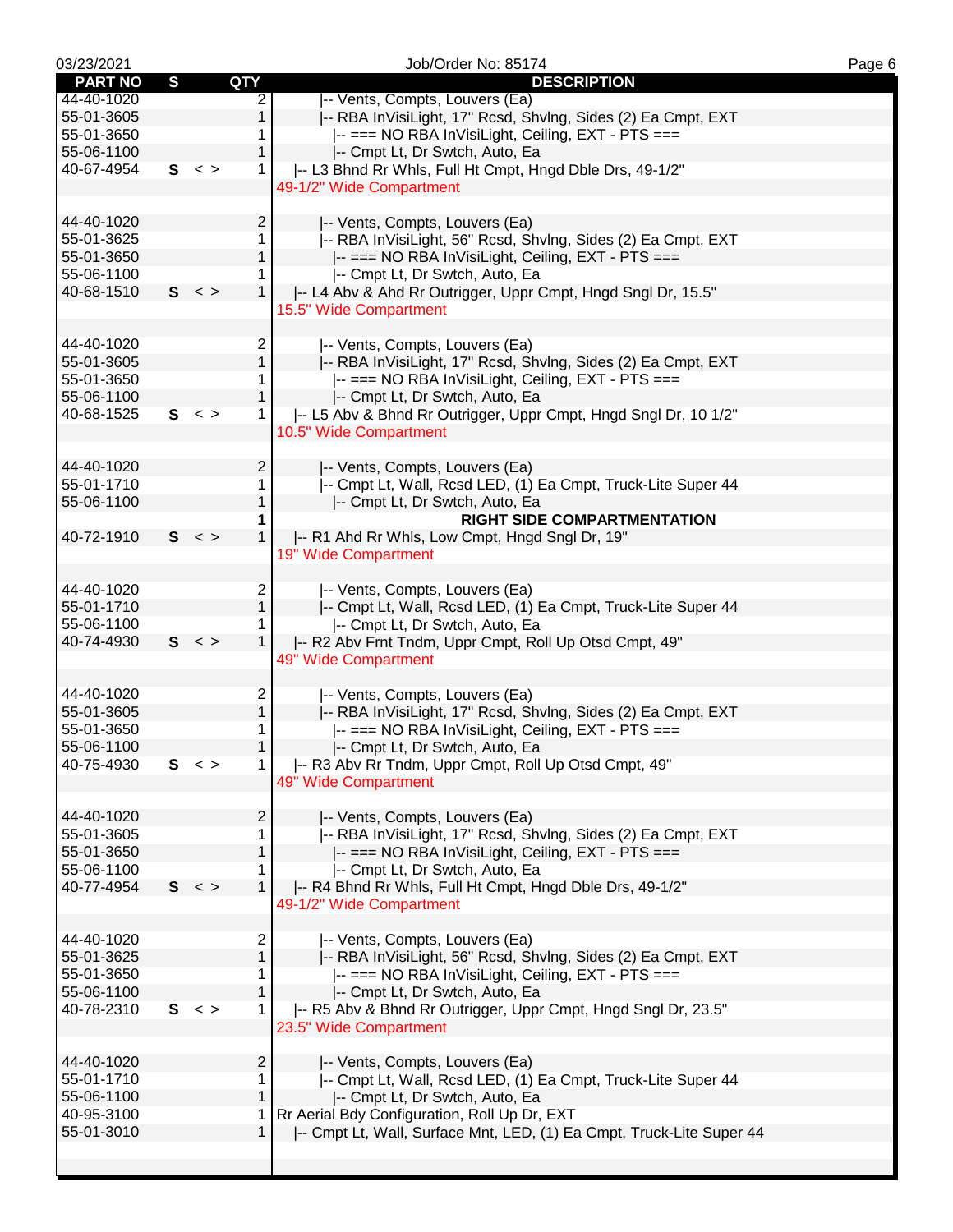| 03/23/2021     |              |                           | Job/Order No: 85174                                                  | Page 6 |
|----------------|--------------|---------------------------|----------------------------------------------------------------------|--------|
| <b>PART NO</b> | $\mathbf{s}$ | <b>QTY</b>                | <b>DESCRIPTION</b>                                                   |        |
| 44-40-1020     |              | $\overline{2}$            | -- Vents, Compts, Louvers (Ea)                                       |        |
| 55-01-3605     |              | $\mathbf{1}$              | -- RBA InVisiLight, 17" Rcsd, ShvIng, Sides (2) Ea Cmpt, EXT         |        |
| 55-01-3650     |              | 1                         | -- === NO RBA InVisiLight, Ceiling, EXT - PTS ===                    |        |
| 55-06-1100     |              | $\mathbf{1}$              | -- Cmpt Lt, Dr Swtch, Auto, Ea                                       |        |
|                |              |                           |                                                                      |        |
| 40-67-4954     |              | $S < \gt$<br>$\mathbf{1}$ | -- L3 Bhnd Rr Whls, Full Ht Cmpt, Hngd Dble Drs, 49-1/2"             |        |
|                |              |                           | 49-1/2" Wide Compartment                                             |        |
|                |              |                           |                                                                      |        |
| 44-40-1020     |              | $\overline{2}$            | -- Vents, Compts, Louvers (Ea)                                       |        |
| 55-01-3625     |              | 1                         | -- RBA InVisiLight, 56" Rcsd, ShvIng, Sides (2) Ea Cmpt, EXT         |        |
| 55-01-3650     |              | $\mathbf{1}$              |                                                                      |        |
|                |              |                           | -- === NO RBA InVisiLight, Ceiling, EXT - PTS ===                    |        |
| 55-06-1100     |              | 1                         | -- Cmpt Lt, Dr Swtch, Auto, Ea                                       |        |
| 40-68-1510     |              | $\mathbf{1}$<br>S <       | -- L4 Abv & Ahd Rr Outrigger, Uppr Cmpt, Hngd Sngl Dr, 15.5"         |        |
|                |              |                           | 15.5" Wide Compartment                                               |        |
|                |              |                           |                                                                      |        |
| 44-40-1020     |              | 2                         | -- Vents, Compts, Louvers (Ea)                                       |        |
| 55-01-3605     |              | $\mathbf{1}$              |                                                                      |        |
|                |              |                           | -- RBA InVisiLight, 17" Rcsd, ShvIng, Sides (2) Ea Cmpt, EXT         |        |
| 55-01-3650     |              | 1.                        | -- === NO RBA InVisiLight, Ceiling, EXT - PTS ===                    |        |
| 55-06-1100     |              | 1                         | -- Cmpt Lt, Dr Swtch, Auto, Ea                                       |        |
| 40-68-1525     |              | S <<br>$\mathbf{1}$       | -- L5 Abv & Bhnd Rr Outrigger, Uppr Cmpt, Hngd Sngl Dr, 10 1/2"      |        |
|                |              |                           | 10.5" Wide Compartment                                               |        |
|                |              |                           |                                                                      |        |
|                |              |                           |                                                                      |        |
| 44-40-1020     |              | $\overline{2}$            | -- Vents, Compts, Louvers (Ea)                                       |        |
| 55-01-1710     |              | 1                         | -- Cmpt Lt, Wall, Rcsd LED, (1) Ea Cmpt, Truck-Lite Super 44         |        |
| 55-06-1100     |              | $\mathbf{1}$              | -- Cmpt Lt, Dr Swtch, Auto, Ea                                       |        |
|                |              | 1                         | <b>RIGHT SIDE COMPARTMENTATION</b>                                   |        |
| 40-72-1910     |              | S <<br>$\mathbf{1}$       | -- R1 Ahd Rr Whls, Low Cmpt, Hngd Sngl Dr, 19"                       |        |
|                |              |                           | 19" Wide Compartment                                                 |        |
|                |              |                           |                                                                      |        |
|                |              |                           |                                                                      |        |
| 44-40-1020     |              | $\overline{2}$            | -- Vents, Compts, Louvers (Ea)                                       |        |
| 55-01-1710     |              | $\mathbf{1}$              | -- Cmpt Lt, Wall, Rcsd LED, (1) Ea Cmpt, Truck-Lite Super 44         |        |
| 55-06-1100     |              | 1.                        | -- Cmpt Lt, Dr Swtch, Auto, Ea                                       |        |
| 40-74-4930     |              | S <<br>$\mathbf{1}$       | -- R2 Abv Frnt Tndm, Uppr Cmpt, Roll Up Otsd Cmpt, 49"               |        |
|                |              |                           | 49" Wide Compartment                                                 |        |
|                |              |                           |                                                                      |        |
|                |              |                           |                                                                      |        |
| 44-40-1020     |              | 2                         | -- Vents, Compts, Louvers (Ea)                                       |        |
| 55-01-3605     |              | $\mathbf 1$               | -- RBA InVisiLight, 17" Rcsd, ShvIng, Sides (2) Ea Cmpt, EXT         |        |
| 55-01-3650     |              | 1                         | -- === NO RBA InVisiLight, Ceiling, EXT - PTS ===                    |        |
| 55-06-1100     |              | $\mathbf{1}$              | -- Cmpt Lt, Dr Swtch, Auto, Ea                                       |        |
| 40-75-4930     |              | S <<br>1                  | -- R3 Abv Rr Tndm, Uppr Cmpt, Roll Up Otsd Cmpt, 49"                 |        |
|                |              |                           | 49" Wide Compartment                                                 |        |
|                |              |                           |                                                                      |        |
|                |              |                           |                                                                      |        |
| 44-40-1020     |              | $\overline{2}$            | -- Vents, Compts, Louvers (Ea)                                       |        |
| 55-01-3605     |              | $\mathbf 1$               | -- RBA InVisiLight, 17" Rcsd, ShvIng, Sides (2) Ea Cmpt, EXT         |        |
| 55-01-3650     |              | $\mathbf{1}$              | -- === NO RBA InVisiLight, Ceiling, EXT - PTS ===                    |        |
| 55-06-1100     |              | 1                         | -- Cmpt Lt, Dr Swtch, Auto, Ea                                       |        |
| 40-77-4954     |              | 1<br>$S < \gt$            | I-- R4 Bhnd Rr Whls, Full Ht Cmpt, Hngd Dble Drs, 49-1/2"            |        |
|                |              |                           | 49-1/2" Wide Compartment                                             |        |
|                |              |                           |                                                                      |        |
|                |              |                           |                                                                      |        |
| 44-40-1020     |              | $\overline{2}$            | -- Vents, Compts, Louvers (Ea)                                       |        |
| 55-01-3625     |              | $\mathbf{1}$              | -- RBA InVisiLight, 56" Rcsd, Shvlng, Sides (2) Ea Cmpt, EXT         |        |
| 55-01-3650     |              | 1                         | -- === NO RBA InVisiLight, Ceiling, EXT - PTS ===                    |        |
| 55-06-1100     |              | 1                         | -- Cmpt Lt, Dr Swtch, Auto, Ea                                       |        |
| 40-78-2310     |              | S <<br>$\mathbf{1}$       | -- R5 Abv & Bhnd Rr Outrigger, Uppr Cmpt, Hngd Sngl Dr, 23.5"        |        |
|                |              |                           |                                                                      |        |
|                |              |                           | 23.5" Wide Compartment                                               |        |
|                |              |                           |                                                                      |        |
| 44-40-1020     |              | $\overline{2}$            | -- Vents, Compts, Louvers (Ea)                                       |        |
| 55-01-1710     |              | 1                         | -- Cmpt Lt, Wall, Rcsd LED, (1) Ea Cmpt, Truck-Lite Super 44         |        |
| 55-06-1100     |              | 1                         | -- Cmpt Lt, Dr Swtch, Auto, Ea                                       |        |
| 40-95-3100     |              | $\mathbf{1}$              | Rr Aerial Bdy Configuration, Roll Up Dr, EXT                         |        |
| 55-01-3010     |              | 1                         | -- Cmpt Lt, Wall, Surface Mnt, LED, (1) Ea Cmpt, Truck-Lite Super 44 |        |
|                |              |                           |                                                                      |        |
|                |              |                           |                                                                      |        |
|                |              |                           |                                                                      |        |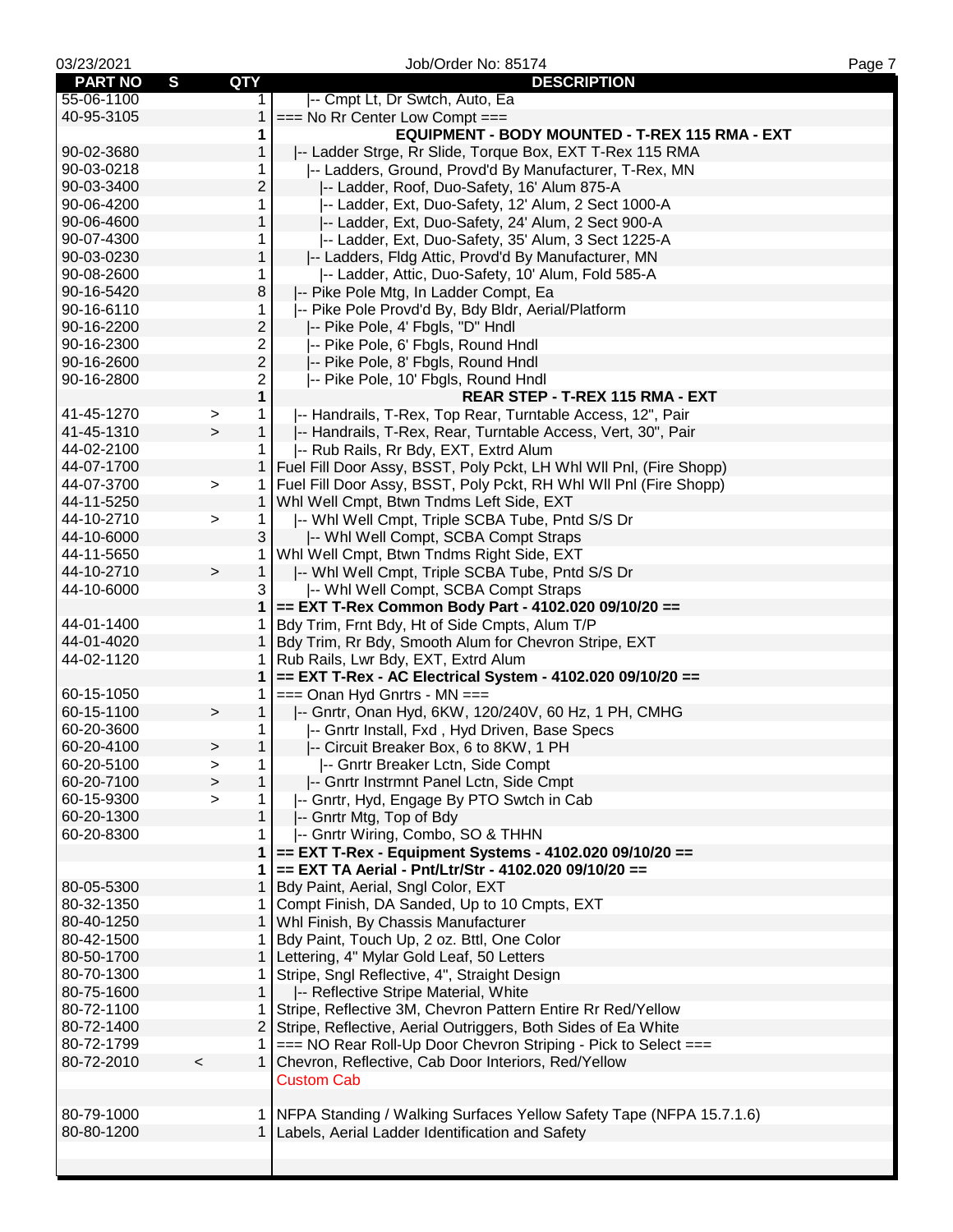| 03/23/2021     |                           | Job/Order No: 85174                                                   | Page 7 |
|----------------|---------------------------|-----------------------------------------------------------------------|--------|
| <b>PART NO</b> | S<br>QTY                  | <b>DESCRIPTION</b>                                                    |        |
| 55-06-1100     | 1.                        | -- Cmpt Lt, Dr Swtch, Auto, Ea                                        |        |
| 40-95-3105     | 1                         | $==$ No Rr Center Low Compt $==$                                      |        |
|                | 1                         | EQUIPMENT - BODY MOUNTED - T-REX 115 RMA - EXT                        |        |
| 90-02-3680     | 1                         | -- Ladder Strge, Rr Slide, Torque Box, EXT T-Rex 115 RMA              |        |
| 90-03-0218     | 1                         | -- Ladders, Ground, Provd'd By Manufacturer, T-Rex, MN                |        |
| 90-03-3400     | $\overline{c}$            | -- Ladder, Roof, Duo-Safety, 16' Alum 875-A                           |        |
| 90-06-4200     | 1                         | -- Ladder, Ext, Duo-Safety, 12' Alum, 2 Sect 1000-A                   |        |
| 90-06-4600     | 1                         | -- Ladder, Ext, Duo-Safety, 24' Alum, 2 Sect 900-A                    |        |
| 90-07-4300     | 1                         | -- Ladder, Ext, Duo-Safety, 35' Alum, 3 Sect 1225-A                   |        |
| 90-03-0230     | $\mathbf{1}$              | -- Ladders, Fldg Attic, Provd'd By Manufacturer, MN                   |        |
| 90-08-2600     | 1.                        | -- Ladder, Attic, Duo-Safety, 10' Alum, Fold 585-A                    |        |
| 90-16-5420     | 8                         | -- Pike Pole Mtg, In Ladder Compt, Ea                                 |        |
| 90-16-6110     | 1                         | -- Pike Pole Provd'd By, Bdy Bldr, Aerial/Platform                    |        |
| 90-16-2200     | $\overline{c}$            | -- Pike Pole, 4' Fbgls, "D" Hndl                                      |        |
| 90-16-2300     | 2                         | -- Pike Pole, 6' Fbgls, Round Hndl                                    |        |
| 90-16-2600     | $\overline{c}$            | -- Pike Pole, 8' Fbgls, Round Hndl                                    |        |
| 90-16-2800     | 2                         | -- Pike Pole, 10' Fbgls, Round Hndl                                   |        |
|                | 1                         | REAR STEP - T-REX 115 RMA - EXT                                       |        |
| 41-45-1270     | 1.                        | -- Handrails, T-Rex, Top Rear, Turntable Access, 12", Pair            |        |
| 41-45-1310     | ><br>1<br>$\mathbf{L}$    |                                                                       |        |
| 44-02-2100     |                           | -- Handrails, T-Rex, Rear, Turntable Access, Vert, 30", Pair          |        |
|                | 1.                        | -- Rub Rails, Rr Bdy, EXT, Extrd Alum                                 |        |
| 44-07-1700     | $\mathbf{1}$              | Fuel Fill Door Assy, BSST, Poly Pckt, LH Whl Wil Pnl, (Fire Shopp)    |        |
| 44-07-3700     | $\mathbf{1}$<br>$\geq$    | Fuel Fill Door Assy, BSST, Poly Pckt, RH Whl WII Pnl (Fire Shopp)     |        |
| 44-11-5250     | $\mathbf{1}$              | Whl Well Cmpt, Btwn Tndms Left Side, EXT                              |        |
| 44-10-2710     | $\mathbf{1}$<br>$\geq$    | -- Whi Well Cmpt, Triple SCBA Tube, Pntd S/S Dr                       |        |
| 44-10-6000     | 3                         | -- Whi Well Compt, SCBA Compt Straps                                  |        |
| 44-11-5650     | 1                         | Whl Well Cmpt, Btwn Tndms Right Side, EXT                             |        |
| 44-10-2710     | 1<br>$\,>$                | -- Whl Well Cmpt, Triple SCBA Tube, Pntd S/S Dr                       |        |
| 44-10-6000     | 3                         | -- Whi Well Compt, SCBA Compt Straps                                  |        |
|                | 1                         | == EXT T-Rex Common Body Part - 4102.020 09/10/20 ==                  |        |
| 44-01-1400     | 1                         | Bdy Trim, Frnt Bdy, Ht of Side Cmpts, Alum T/P                        |        |
| 44-01-4020     | $\mathbf{1}$              | Bdy Trim, Rr Bdy, Smooth Alum for Chevron Stripe, EXT                 |        |
| 44-02-1120     | 1                         | Rub Rails, Lwr Bdy, EXT, Extrd Alum                                   |        |
|                | 1                         | == EXT T-Rex - AC Electrical System - 4102.020 09/10/20 ==            |        |
| 60-15-1050     | 1                         | $==$ Onan Hyd Gnrtrs - MN $==$                                        |        |
| 60-15-1100     | $\mathbf{1}$<br>$\,$      | -- Gnrtr, Onan Hyd, 6KW, 120/240V, 60 Hz, 1 PH, CMHG                  |        |
| 60-20-3600     | 1.                        | -- Gnrtr Install, Fxd, Hyd Driven, Base Specs                         |        |
| 60-20-4100     | $\mathbf{1}$<br>$\, > \,$ | -- Circuit Breaker Box, 6 to 8KW, 1 PH                                |        |
| 60-20-5100     | 1<br>$\, > \,$            | -- Gnrtr Breaker Lctn, Side Compt                                     |        |
| 60-20-7100     | $\mathbf{1}$<br>$\geq$    | -- Gnrtr Instrmnt Panel Lctn, Side Cmpt                               |        |
| 60-15-9300     | $\mathbf{1}$<br>$\geq$    | -- Gnrtr, Hyd, Engage By PTO Swtch in Cab                             |        |
| 60-20-1300     | 1                         | -- Gnrtr Mtg, Top of Bdy                                              |        |
| 60-20-8300     | 1.                        | -- Gnrtr Wiring, Combo, SO & THHN                                     |        |
|                | 1                         | == EXT T-Rex - Equipment Systems - 4102.020 09/10/20 ==               |        |
|                | 1                         | == EXT TA Aerial - Pnt/Ltr/Str - 4102.020 09/10/20 ==                 |        |
| 80-05-5300     | 1                         | Bdy Paint, Aerial, Sngl Color, EXT                                    |        |
| 80-32-1350     | 1.                        | Compt Finish, DA Sanded, Up to 10 Cmpts, EXT                          |        |
| 80-40-1250     | $\mathbf{1}$              | Whl Finish, By Chassis Manufacturer                                   |        |
| 80-42-1500     | 1.                        | Bdy Paint, Touch Up, 2 oz. Bttl, One Color                            |        |
| 80-50-1700     |                           | 1   Lettering, 4" Mylar Gold Leaf, 50 Letters                         |        |
| 80-70-1300     | 1.                        | Stripe, Sngl Reflective, 4", Straight Design                          |        |
| 80-75-1600     | $\mathbf{1}$              | -- Reflective Stripe Material, White                                  |        |
| 80-72-1100     | 1.                        | Stripe, Reflective 3M, Chevron Pattern Entire Rr Red/Yellow           |        |
| 80-72-1400     | $\overline{2}$            | Stripe, Reflective, Aerial Outriggers, Both Sides of Ea White         |        |
| 80-72-1799     | 1.                        | === NO Rear Roll-Up Door Chevron Striping - Pick to Select ===        |        |
| 80-72-2010     | $\prec$                   | 1 Chevron, Reflective, Cab Door Interiors, Red/Yellow                 |        |
|                |                           | <b>Custom Cab</b>                                                     |        |
|                |                           |                                                                       |        |
| 80-79-1000     |                           | 1 NFPA Standing / Walking Surfaces Yellow Safety Tape (NFPA 15.7.1.6) |        |
| 80-80-1200     |                           | 1 Labels, Aerial Ladder Identification and Safety                     |        |
|                |                           |                                                                       |        |
|                |                           |                                                                       |        |
|                |                           |                                                                       |        |